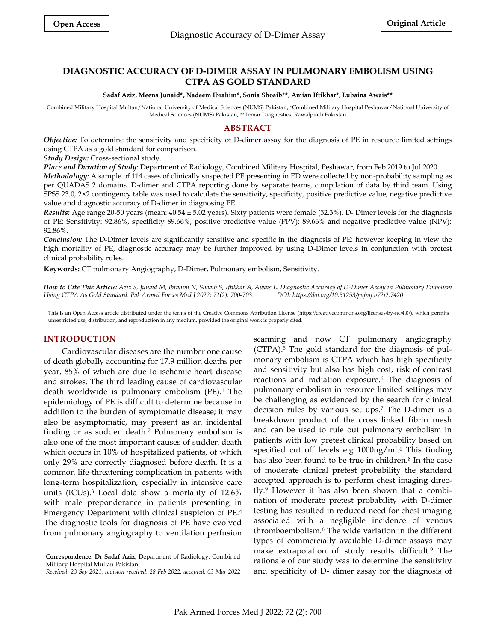# **DIAGNOSTIC ACCURACY OF D-DIMER ASSAY IN PULMONARY EMBOLISM USING CTPA AS GOLD STANDARD**

#### **Sadaf Aziz, Meena Junaid\*, Nadeem Ibrahim\*, Sonia Shoaib\*\*, Amian Iftikhar\*, Lubaina Awais\*\***

Combined Military Hospital Multan/National University of Medical Sciences (NUMS) Pakistan, \*Combined Military Hospital Peshawar/National University of Medical Sciences (NUMS) Pakistan, \*\*Temar Diagnostics, Rawalpindi Pakistan

## **ABSTRACT**

*Objective:* To determine the sensitivity and specificity of D-dimer assay for the diagnosis of PE in resource limited settings using CTPA as a gold standard for comparison.

*Study Design:* Cross-sectional study.

*Place and Duration of Study:* Department of Radiology, Combined Military Hospital, Peshawar, from Feb 2019 to Jul 2020.

*Methodology:* A sample of 114 cases of clinically suspected PE presenting in ED were collected by non-probability sampling as per QUADAS 2 domains. D-dimer and CTPA reporting done by separate teams, compilation of data by third team. Using SPSS 23.0, 2×2 contingency table was used to calculate the sensitivity, specificity, positive predictive value, negative predictive value and diagnostic accuracy of D-dimer in diagnosing PE.

*Results:* Age range 20-50 years (mean: 40.54 ± 5.02 years). Sixty patients were female (52.3%). D- Dimer levels for the diagnosis of PE: Sensitivity: 92.86%, specificity 89.66%, positive predictive value (PPV): 89.66% and negative predictive value (NPV): 92.86%.

*Conclusion:* The D-Dimer levels are significantly sensitive and specific in the diagnosis of PE: however keeping in view the high mortality of PE, diagnostic accuracy may be further improved by using D-Dimer levels in conjunction with pretest clinical probability rules.

**Keywords:** CT pulmonary Angiography, D-Dimer, Pulmonary embolism, Sensitivity.

*How to Cite This Article: Aziz S, Junaid M, Ibrahim N, Shoaib S, Iftikhar A, Awais L. Diagnostic Accuracy of D-Dimer Assay in Pulmonary Embolism Using CTPA As Gold Standard. Pak Armed Forces Med J 2022; 72(2): 700-703. DOI: https://doi.org/10.51253/pafmj.v72i2.7420*

This is an Open Access article distributed under the terms of the Creative Commons Attribution License (https://creativecommons.org/licenses/by-nc/4.0/), which permits unrestricted use, distribution, and reproduction in any medium, provided the original work is properly cited.

## **INTRODUCTION**

Cardiovascular diseases are the number one cause of death globally accounting for 17.9 million deaths per year, 85% of which are due to ischemic heart disease and strokes. The third leading cause of cardiovascular death worldwide is pulmonary embolism (PE).<sup>1</sup> The epidemiology of PE is difficult to determine because in addition to the burden of symptomatic disease; it may also be asymptomatic, may present as an incidental finding or as sudden death. <sup>2</sup> Pulmonary embolism is also one of the most important causes of sudden death which occurs in 10% of hospitalized patients, of which only 29% are correctly diagnosed before death. It is a common life-threatening complication in patients with long-term hospitalization, especially in intensive care units (ICUs).<sup>3</sup> Local data show a mortality of 12.6% with male preponderance in patients presenting in Emergency Department with clinical suspicion of PE.<sup>4</sup> The diagnostic tools for diagnosis of PE have evolved from pulmonary angiography to ventilation perfusion

scanning and now CT pulmonary angiography (CTPA).<sup>5</sup> The gold standard for the diagnosis of pulmonary embolism is CTPA which has high specificity and sensitivity but also has high cost, risk of contrast reactions and radiation exposure.<sup>6</sup> The diagnosis of pulmonary embolism in resource limited settings may be challenging as evidenced by the search for clinical decision rules by various set ups.<sup>7</sup> The D-dimer is a breakdown product of the cross linked fibrin mesh and can be used to rule out pulmonary embolism in patients with low pretest clinical probability based on specified cut off levels e.g 1000ng/ml.<sup>6</sup> This finding has also been found to be true in children.<sup>8</sup> In the case of moderate clinical pretest probability the standard accepted approach is to perform chest imaging directly.<sup>9</sup> However it has also been shown that a combination of moderate pretest probability with D-dimer testing has resulted in reduced need for chest imaging associated with a negligible incidence of venous thromboembolism.<sup>6</sup> The wide variation in the different types of commercially available D-dimer assays may make extrapolation of study results difficult.<sup>9</sup> The rationale of our study was to determine the sensitivity and specificity of D- dimer assay for the diagnosis of

**Correspondence: Dr Sadaf Aziz,** Department of Radiology, Combined Military Hospital Multan Pakistan

*Received: 23 Sep 2021; revision received: 28 Feb 2022; accepted: 03 Mar 2022*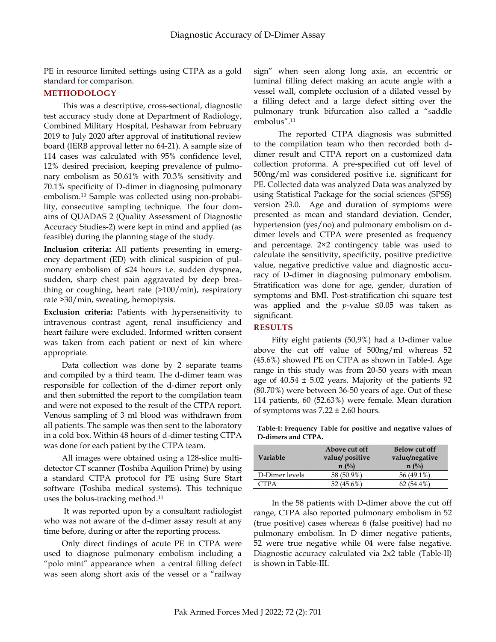PE in resource limited settings using CTPA as a gold standard for comparison.

# **METHODOLOGY**

This was a descriptive, cross-sectional, diagnostic test accuracy study done at Department of Radiology, Combined Military Hospital, Peshawar from February 2019 to July 2020 after approval of institutional review board (IERB approval letter no 64-21). A sample size of 114 cases was calculated with 95% confidence level, 12% desired precision, keeping prevalence of pulmonary embolism as 50.61% with 70.3% sensitivity and 70.1% specificity of D-dimer in diagnosing pulmonary embolism.<sup>10</sup> Sample was collected using non-probability, consecutive sampling technique. The four domains of QUADAS 2 (Quality Assessment of Diagnostic Accuracy Studies-2) were kept in mind and applied (as feasible) during the planning stage of the study.

**Inclusion criteria:** All patients presenting in emergency department (ED) with clinical suspicion of pulmonary embolism of ≤24 hours i.e. sudden dyspnea, sudden, sharp chest pain aggravated by deep breathing or coughing, heart rate (>100/min), respiratory rate >30/min, sweating, hemoptysis.

**Exclusion criteria:** Patients with hypersensitivity to intravenous contrast agent, renal insufficiency and heart failure were excluded. Informed written consent was taken from each patient or next of kin where appropriate.

Data collection was done by 2 separate teams and compiled by a third team. The d-dimer team was responsible for collection of the d-dimer report only and then submitted the report to the compilation team and were not exposed to the result of the CTPA report. Venous sampling of 3 ml blood was withdrawn from all patients. The sample was then sent to the laboratory in a cold box. Within 48 hours of d-dimer testing CTPA was done for each patient by the CTPA team.

All images were obtained using a 128-slice multidetector CT scanner (Toshiba Aquilion Prime) by using a standard CTPA protocol for PE using Sure Start software (Toshiba medical systems). This technique uses the bolus-tracking method.<sup>11</sup>

It was reported upon by a consultant radiologist who was not aware of the d-dimer assay result at any time before, during or after the reporting process.

Only direct findings of acute PE in CTPA were used to diagnose pulmonary embolism including a "polo mint" appearance when a central filling defect was seen along short axis of the vessel or a "railway sign" when seen along long axis, an eccentric or luminal filling defect making an acute angle with a vessel wall, complete occlusion of a dilated vessel by a filling defect and a large defect sitting over the pulmonary trunk bifurcation also called a "saddle embolus". 11

 The reported CTPA diagnosis was submitted to the compilation team who then recorded both ddimer result and CTPA report on a customized data collection proforma. A pre-specified cut off level of 500ng/ml was considered positive i.e. significant for PE. Collected data was analyzed Data was analyzed by using Statistical Package for the social sciences (SPSS) version 23.0. Age and duration of symptoms were presented as mean and standard deviation. Gender, hypertension (yes/no) and pulmonary embolism on ddimer levels and CTPA were presented as frequency and percentage. 2×2 contingency table was used to calculate the sensitivity, specificity, positive predictive value, negative predictive value and diagnostic accuracy of D-dimer in diagnosing pulmonary embolism. Stratification was done for age, gender, duration of symptoms and BMI. Post-stratification chi square test was applied and the *p*-value ≤0.05 was taken as significant.

# **RESULTS**

Fifty eight patients (50,9%) had a D-dimer value above the cut off value of 500ng/ml whereas 52 (45.6%) showed PE on CTPA as shown in Table-I. Age range in this study was from 20-50 years with mean age of  $40.54 \pm 5.02$  years. Majority of the patients 92 (80.70%) were between 36-50 years of age. Out of these 114 patients, 60 (52.63%) were female. Mean duration of symptoms was  $7.22 \pm 2.60$  hours.

**Table-I: Frequency Table for positive and negative values of D-dimers and CTPA.**

| <b>Variable</b> | Above cut off<br>value/ positive<br>$n(^{0}/_{0})$ | <b>Below cut off</b><br>value/negative<br>$n \frac{\omega}{6}$ |
|-----------------|----------------------------------------------------|----------------------------------------------------------------|
| D-Dimer levels  | 58 (50.9%)                                         | 56 (49.1%)                                                     |
| ∩TPA            | 52 (45.6%)                                         | $62(54.4\%)$                                                   |

In the 58 patients with D-dimer above the cut off range, CTPA also reported pulmonary embolism in 52 (true positive) cases whereas 6 (false positive) had no pulmonary embolism. In D dimer negative patients, 52 were true negative while 04 were false negative. Diagnostic accuracy calculated via 2x2 table (Table-II) is shown in Table-III.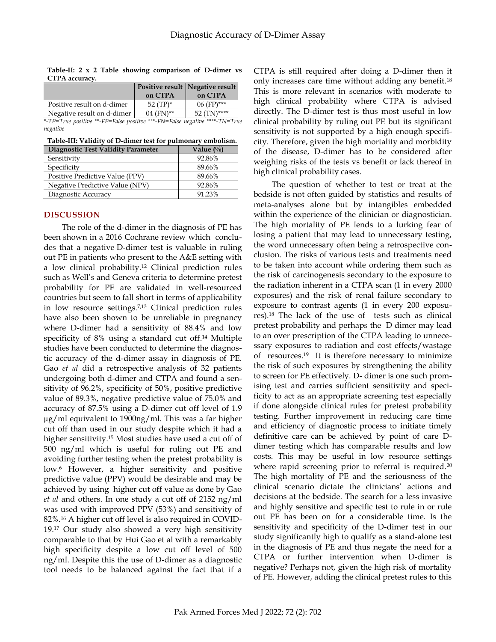**Table-II: 2 x 2 Table showing comparison of D-dimer vs CTPA accuracy.**

|                            |             | Positive result Negative result |
|----------------------------|-------------|---------------------------------|
|                            | on CTPA     | on CTPA                         |
| Positive result on d-dimer | $52$ (TP)*  | $06$ (FP)***                    |
| Negative result on d-dimer | $04$ (FN)** | $52(TN)$ ****                   |

*\*-TP=True positive \*\*-FP=False positive \*\*\*-FN=False negative \*\*\*\*-TN=True negative*

**Table-III: Validity of D-dimer test for pulmonary embolism.**

| Diagnostic Test Validity Parameter | Value $\frac{0}{0}$ |
|------------------------------------|---------------------|
| Sensitivity                        | 92.86%              |
| Specificity                        | 89.66%              |
| Positive Predictive Value (PPV)    | 89.66%              |
| Negative Predictive Value (NPV)    | 92.86%              |
| Diagnostic Accuracy                | 91.23%              |

# **DISCUSSION**

The role of the d-dimer in the diagnosis of PE has been shown in a 2016 Cochrane review which concludes that a negative D‐dimer test is valuable in ruling out PE in patients who present to the A&E setting with a low clinical probability.<sup>12</sup> Clinical prediction rules such as Well's and Geneva criteria to determine pretest probability for PE are validated in well-resourced countries but seem to fall short in terms of applicability in low resource settings.7,13 Clinical prediction rules have also been shown to be unreliable in pregnancy where D-dimer had a sensitivity of 88.4% and low specificity of 8% using a standard cut off. <sup>14</sup> Multiple studies have been conducted to determine the diagnostic accuracy of the d-dimer assay in diagnosis of PE. Gao *et al* did a retrospective analysis of 32 patients undergoing both d-dimer and CTPA and found a sensitivity of 96.2%, specificity of 50%, positive predictive value of 89.3%, negative predictive value of 75.0% and accuracy of 87.5% using a D-dimer cut off level of 1.9 µg/ml equivalent to 1900ng/ml. This was a far higher cut off than used in our study despite which it had a higher sensitivity.<sup>15</sup> Most studies have used a cut off of 500 ng/ml which is useful for ruling out PE and avoiding further testing when the pretest probability is low. <sup>6</sup> However, a higher sensitivity and positive predictive value (PPV) would be desirable and may be achieved by using higher cut off value as done by Gao *et al* and others. In one study a cut off of 2152 ng/ml was used with improved PPV (53%) and sensitivity of 82%.<sup>16</sup> A higher cut off level is also required in COVID-19. <sup>17</sup> Our study also showed a very high sensitivity comparable to that by Hui Gao et al with a remarkably high specificity despite a low cut off level of 500 ng/ml. Despite this the use of D-dimer as a diagnostic tool needs to be balanced against the fact that if a

CTPA is still required after doing a D-dimer then it only increases care time without adding any benefit. 18 This is more relevant in scenarios with moderate to high clinical probability where CTPA is advised directly. The D-dimer test is thus most useful in low clinical probability by ruling out PE but its significant sensitivity is not supported by a high enough specificity. Therefore, given the high mortality and morbidity of the disease, D-dimer has to be considered after weighing risks of the tests vs benefit or lack thereof in high clinical probability cases.

The question of whether to test or treat at the bedside is not often guided by statistics and results of meta-analyses alone but by intangibles embedded within the experience of the clinician or diagnostician. The high mortality of PE lends to a lurking fear of losing a patient that may lead to unnecessary testing, the word unnecessary often being a retrospective conclusion. The risks of various tests and treatments need to be taken into account while ordering them such as the risk of carcinogenesis secondary to the exposure to the radiation inherent in a CTPA scan (1 in every 2000 exposures) and the risk of renal failure secondary to exposure to contrast agents (1 in every 200 exposures).<sup>18</sup> The lack of the use of tests such as clinical pretest probability and perhaps the D dimer may lead to an over prescription of the CTPA leading to unnecessary exposures to radiation and cost effects/wastage of resources.<sup>19</sup> It is therefore necessary to minimize the risk of such exposures by strengthening the ability to screen for PE effectively. D- dimer is one such promising test and carries sufficient sensitivity and specificity to act as an appropriate screening test especially if done alongside clinical rules for pretest probability testing. Further improvement in reducing care time and efficiency of diagnostic process to initiate timely definitive care can be achieved by point of care Ddimer testing which has comparable results and low costs. This may be useful in low resource settings where rapid screening prior to referral is required.<sup>20</sup> The high mortality of PE and the seriousness of the clinical scenario dictate the clinicians' actions and decisions at the bedside. The search for a less invasive and highly sensitive and specific test to rule in or rule out PE has been on for a considerable time. Is the sensitivity and specificity of the D-dimer test in our study significantly high to qualify as a stand-alone test in the diagnosis of PE and thus negate the need for a CTPA or further intervention when D-dimer is negative? Perhaps not, given the high risk of mortality of PE. However, adding the clinical pretest rules to this